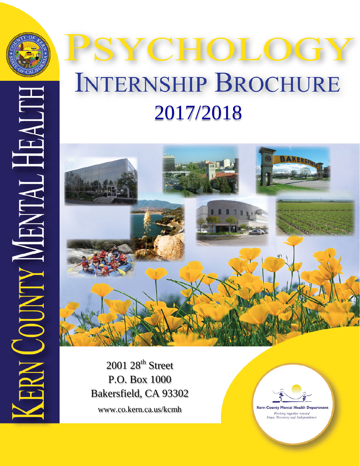

# **ZCHOLOG INTERNSHIP BROCHURE** 2017/2018



2001 28<sup>th</sup> Street P.O. Box 1000 Bakersfield, CA 93302 www.co.kern.ca.us/kcmh

**Kern County Mental Health Department** Working together toward Hope, Recovery and Independence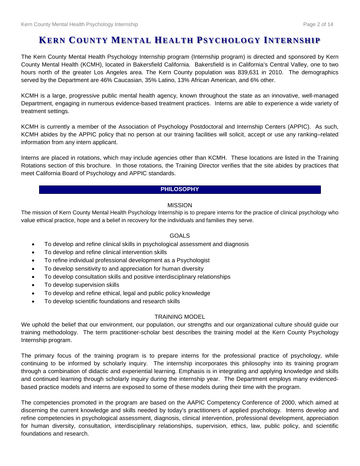## **KERN COUNTY MENTAL HEALTH PSYCHOLOGY INTERNSHIP**

The Kern County Mental Health Psychology Internship program (Internship program) is directed and sponsored by Kern County Mental Health (KCMH), located in Bakersfield California. Bakersfield is in California's Central Valley, one to two hours north of the greater Los Angeles area. The Kern County population was 839,631 in 2010. The demographics served by the Department are 46% Caucasian, 35% Latino, 13% African American, and 6% other.

KCMH is a large, progressive public mental health agency, known throughout the state as an innovative, well-managed Department, engaging in numerous evidence-based treatment practices. Interns are able to experience a wide variety of treatment settings.

KCMH is currently a member of the Association of Psychology Postdoctoral and Internship Centers (APPIC). As such, KCMH abides by the APPIC policy that no person at our training facilities will solicit, accept or use any ranking–related information from any intern applicant.

Interns are placed in rotations, which may include agencies other than KCMH. These locations are listed in the Training Rotations section of this brochure. In those rotations, the Training Director verifies that the site abides by practices that meet California Board of Psychology and APPIC standards.

#### **PHILOSOPHY**

## MISSION

The mission of Kern County Mental Health Psychology Internship is to prepare interns for the practice of clinical psychology who value ethical practice, hope and a belief in recovery for the individuals and families they serve.

## GOALS

- To develop and refine clinical skills in psychological assessment and diagnosis
- To develop and refine clinical intervention skills
- To refine individual professional development as a Psychologist
- To develop sensitivity to and appreciation for human diversity
- To develop consultation skills and positive interdisciplinary relationships
- To develop supervision skills
- To develop and refine ethical, legal and public policy knowledge
- To develop scientific foundations and research skills

#### TRAINING MODEL

We uphold the belief that our environment, our population, our strengths and our organizational culture should guide our training methodology. The term practitioner-scholar best describes the training model at the Kern County Psychology Internship program.

The primary focus of the training program is to prepare interns for the professional practice of psychology, while continuing to be informed by scholarly inquiry. The internship incorporates this philosophy into its training program through a combination of didactic and experiential learning. Emphasis is in integrating and applying knowledge and skills and continued learning through scholarly inquiry during the internship year. The Department employs many evidencedbased practice models and interns are exposed to some of these models during their time with the program.

The competencies promoted in the program are based on the AAPIC Competency Conference of 2000, which aimed at discerning the current knowledge and skills needed by today's practitioners of applied psychology. Interns develop and refine competencies in psychological assessment, diagnosis, clinical intervention, professional development, appreciation for human diversity, consultation, interdisciplinary relationships, supervision, ethics, law, public policy, and scientific foundations and research.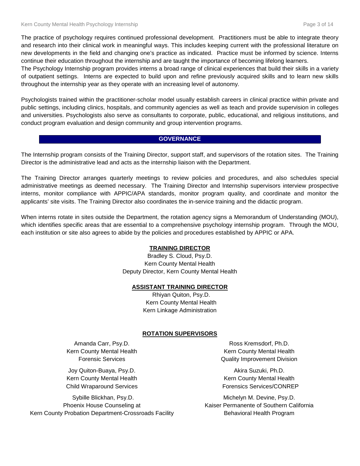The practice of psychology requires continued professional development. Practitioners must be able to integrate theory and research into their clinical work in meaningful ways. This includes keeping current with the professional literature on new developments in the field and changing one's practice as indicated. Practice must be informed by science. Interns continue their education throughout the internship and are taught the importance of becoming lifelong learners.

The Psychology Internship program provides interns a broad range of clinical experiences that build their skills in a variety of outpatient settings. Interns are expected to build upon and refine previously acquired skills and to learn new skills throughout the internship year as they operate with an increasing level of autonomy.

Psychologists trained within the practitioner-scholar model usually establish careers in clinical practice within private and public settings, including clinics, hospitals, and community agencies as well as teach and provide supervision in colleges and universities. Psychologists also serve as consultants to corporate, public, educational, and religious institutions, and conduct program evaluation and design community and group intervention programs.

#### **GOVERNANCE**

The Internship program consists of the Training Director, support staff, and supervisors of the rotation sites. The Training Director is the administrative lead and acts as the internship liaison with the Department.

The Training Director arranges quarterly meetings to review policies and procedures, and also schedules special administrative meetings as deemed necessary. The Training Director and Internship supervisors interview prospective interns, monitor compliance with APPIC/APA standards, monitor program quality, and coordinate and monitor the applicants' site visits. The Training Director also coordinates the in-service training and the didactic program.

When interns rotate in sites outside the Department, the rotation agency signs a Memorandum of Understanding (MOU), which identifies specific areas that are essential to a comprehensive psychology internship program. Through the MOU, each institution or site also agrees to abide by the policies and procedures established by APPIC or APA.

#### **TRAINING DIRECTOR**

Bradley S. Cloud, Psy.D. Kern County Mental Health Deputy Director, Kern County Mental Health

#### **ASSISTANT TRAINING DIRECTOR**

Rhiyan Quiton, Psy.D. Kern County Mental Health Kern Linkage Administration

#### **ROTATION SUPERVISORS**

Amanda Carr, Psy.D. Kern County Mental Health Forensic Services

Joy Quiton-Buaya, Psy.D. Kern County Mental Health Child Wraparound Services

Sybille Blickhan, Psy.D. Phoenix House Counseling at Kern County Probation Department-Crossroads Facility

Ross Kremsdorf, Ph.D. Kern County Mental Health Quality Improvement Division

Akira Suzuki, Ph.D. Kern County Mental Health Forensics Services/CONREP

Michelyn M. Devine, Psy.D. Kaiser Permanente of Southern California Behavioral Health Program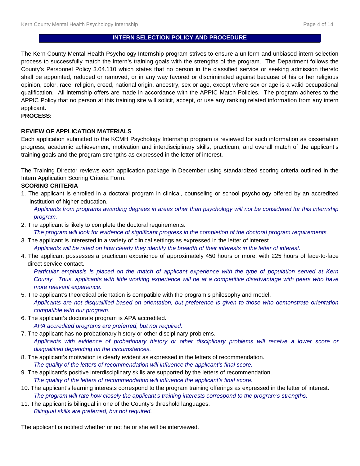## **INTERN SELECTION POLICY AND PROCEDURE**

The Kern County Mental Health Psychology Internship program strives to ensure a uniform and unbiased intern selection process to successfully match the intern's training goals with the strengths of the program. The Department follows the County's Personnel Policy 3.04.110 which states that no person in the classified service or seeking admission thereto shall be appointed, reduced or removed, or in any way favored or discriminated against because of his or her religious opinion, color, race, religion, creed, national origin, ancestry, sex or age, except where sex or age is a valid occupational qualification. All internship offers are made in accordance with the APPIC Match Policies. The program adheres to the APPIC Policy that no person at this training site will solicit, accept, or use any ranking related information from any intern applicant.

#### **PROCESS:**

#### **REVIEW OF APPLICATION MATERIALS**

Each application submitted to the KCMH Psychology Internship program is reviewed for such information as dissertation progress, academic achievement, motivation and interdisciplinary skills, practicum, and overall match of the applicant's training goals and the program strengths as expressed in the letter of interest.

The Training Director reviews each application package in December using standardized scoring criteria outlined in the Intern Application Scoring Criteria Form.

#### **SCORING CRITERIA**

1. The applicant is enrolled in a doctoral program in clinical, counseling or school psychology offered by an accredited institution of higher education.

*Applicants from programs awarding degrees in areas other than psychology will not be considered for this internship program.*

2. The applicant is likely to complete the doctoral requirements.

*The program will look for evidence of significant progress in the completion of the doctoral program requirements.*

3. The applicant is interested in a variety of clinical settings as expressed in the letter of interest.

*Applicants will be rated on how clearly they identify the breadth of their interests in the letter of interest.*

4. The applicant possesses a practicum experience of approximately 450 hours or more, with 225 hours of face-to-face direct service contact.

*Particular emphasis is placed on the match of applicant experience with the type of population served at Kern County. Thus, applicants with little working experience will be at a competitive disadvantage with peers who have more relevant experience.* 

- 5. The applicant's theoretical orientation is compatible with the program's philosophy and model. *Applicants are not disqualified based on orientation, but preference is given to those who demonstrate orientation compatible with our program.*
- 6. The applicant's doctorate program is APA accredited.

*APA accredited programs are preferred, but not required.*

- 7. The applicant has no probationary history or other disciplinary problems. *Applicants with evidence of probationary history or other disciplinary problems will receive a lower score or disqualified depending on the circumstances.*
- 8. The applicant's motivation is clearly evident as expressed in the letters of recommendation. *The quality of the letters of recommendation will influence the applicant's final score.*
- 9. The applicant's positive interdisciplinary skills are supported by the letters of recommendation. *The quality of the letters of recommendation will influence the applicant's final score.*
- 10. The applicant's learning interests correspond to the program training offerings as expressed in the letter of interest. *The program will rate how closely the applicant's training interests correspond to the program's strengths.*
- 11. The applicant is bilingual in one of the County's threshold languages. *Bilingual skills are preferred, but not required.*

The applicant is notified whether or not he or she will be interviewed.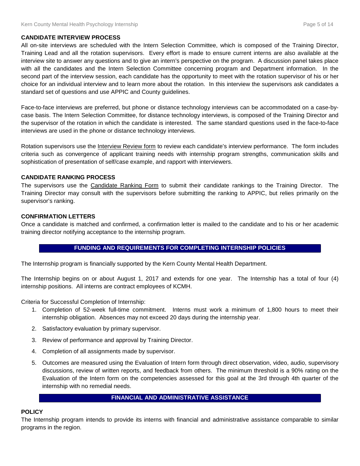#### **CANDIDATE INTERVIEW PROCESS**

All on-site interviews are scheduled with the Intern Selection Committee, which is composed of the Training Director, Training Lead and all the rotation supervisors. Every effort is made to ensure current interns are also available at the interview site to answer any questions and to give an intern's perspective on the program. A discussion panel takes place with all the candidates and the Intern Selection Committee concerning program and Department information. In the second part of the interview session, each candidate has the opportunity to meet with the rotation supervisor of his or her choice for an individual interview and to learn more about the rotation. In this interview the supervisors ask candidates a standard set of questions and use APPIC and County guidelines.

Face-to-face interviews are preferred, but phone or distance technology interviews can be accommodated on a case-bycase basis. The Intern Selection Committee, for distance technology interviews, is composed of the Training Director and the supervisor of the rotation in which the candidate is interested. The same standard questions used in the face-to-face interviews are used in the phone or distance technology interviews.

Rotation supervisors use the Interview Review form to review each candidate's interview performance. The form includes criteria such as convergence of applicant training needs with internship program strengths, communication skills and sophistication of presentation of self/case example, and rapport with interviewers.

#### **CANDIDATE RANKING PROCESS**

The supervisors use the Candidate Ranking Form to submit their candidate rankings to the Training Director. The Training Director may consult with the supervisors before submitting the ranking to APPIC, but relies primarily on the supervisor's ranking.

#### **CONFIRMATION LETTERS**

Once a candidate is matched and confirmed, a confirmation letter is mailed to the candidate and to his or her academic training director notifying acceptance to the internship program.

## **FUNDING AND REQUIREMENTS FOR COMPLETING INTERNSHIP POLICIES**

The Internship program is financially supported by the Kern County Mental Health Department.

The Internship begins on or about August 1, 2017 and extends for one year. The Internship has a total of four (4) internship positions. All interns are contract employees of KCMH.

Criteria for Successful Completion of Internship:

- 1. Completion of 52-week full-time commitment. Interns must work a minimum of 1,800 hours to meet their internship obligation. Absences may not exceed 20 days during the internship year.
- 2. Satisfactory evaluation by primary supervisor.
- 3. Review of performance and approval by Training Director.
- 4. Completion of all assignments made by supervisor.
- 5. Outcomes are measured using the Evaluation of Intern form through direct observation, video, audio, supervisory discussions, review of written reports, and feedback from others. The minimum threshold is a 90% rating on the Evaluation of the Intern form on the competencies assessed for this goal at the 3rd through 4th quarter of the internship with no remedial needs.

#### **FINANCIAL AND ADMINISTRATIVE ASSISTANCE**

#### **POLICY**

The Internship program intends to provide its interns with financial and administrative assistance comparable to similar programs in the region.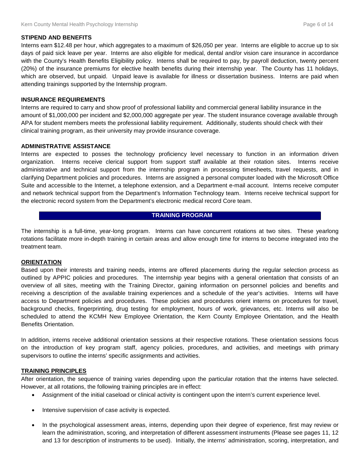#### **STIPEND AND BENEFITS**

Interns earn \$12.48 per hour, which aggregates to a maximum of \$26,050 per year. Interns are eligible to accrue up to six days of paid sick leave per year. Interns are also eligible for medical, dental and/or vision care insurance in accordance with the County's Health Benefits Eligibility policy. Interns shall be required to pay, by payroll deduction, twenty percent (20%) of the insurance premiums for elective health benefits during their internship year. The County has 11 holidays, which are observed, but unpaid. Unpaid leave is available for illness or dissertation business. Interns are paid when attending trainings supported by the Internship program.

#### **INSURANCE REQUIREMENTS**

Interns are required to carry and show proof of professional liability and commercial general liability insurance in the amount of \$1,000,000 per incident and \$2,000,000 aggregate per year. The student insurance coverage available through APA for student members meets the professional liability requirement. Additionally, students should check with their clinical training program, as their university may provide insurance coverage.

#### **ADMINISTRATIVE ASSISTANCE**

Interns are expected to posses the technology proficiency level necessary to function in an information driven organization. Interns receive clerical support from support staff available at their rotation sites. Interns receive administrative and technical support from the internship program in processing timesheets, travel requests, and in clarifying Department policies and procedures. Interns are assigned a personal computer loaded with the Microsoft Office Suite and accessible to the Internet, a telephone extension, and a Department e-mail account. Interns receive computer and network technical support from the Department's Information Technology team. Interns receive technical support for the electronic record system from the Department's electronic medical record Core team.

#### **TRAINING PROGRAM**

The internship is a full-time, year-long program. Interns can have concurrent rotations at two sites. These yearlong rotations facilitate more in-depth training in certain areas and allow enough time for interns to become integrated into the treatment team.

#### **ORIENTATION**

Based upon their interests and training needs, interns are offered placements during the regular selection process as outlined by APPIC policies and procedures. The internship year begins with a general orientation that consists of an overview of all sites, meeting with the Training Director, gaining information on personnel policies and benefits and receiving a description of the available training experiences and a schedule of the year's activities. Interns will have access to Department policies and procedures. These policies and procedures orient interns on procedures for travel, background checks, fingerprinting, drug testing for employment, hours of work, grievances, etc. Interns will also be scheduled to attend the KCMH New Employee Orientation, the Kern County Employee Orientation, and the Health Benefits Orientation.

In addition, interns receive additional orientation sessions at their respective rotations. These orientation sessions focus on the introduction of key program staff, agency policies, procedures, and activities, and meetings with primary supervisors to outline the interns' specific assignments and activities.

#### **TRAINING PRINCIPLES**

After orientation, the sequence of training varies depending upon the particular rotation that the interns have selected. However, at all rotations, the following training principles are in effect:

- Assignment of the initial caseload or clinical activity is contingent upon the intern's current experience level.
- Intensive supervision of case activity is expected.
- In the psychological assessment areas, interns, depending upon their degree of experience, first may review or learn the administration, scoring, and interpretation of different assessment instruments (Please see pages 11, 12 and 13 for description of instruments to be used). Initially, the interns' administration, scoring, interpretation, and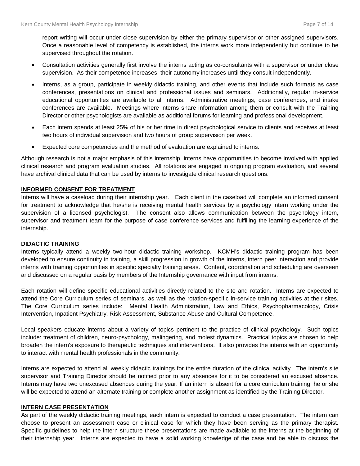report writing will occur under close supervision by either the primary supervisor or other assigned supervisors. Once a reasonable level of competency is established, the interns work more independently but continue to be supervised throughout the rotation.

- Consultation activities generally first involve the interns acting as co-consultants with a supervisor or under close supervision. As their competence increases, their autonomy increases until they consult independently.
- Interns, as a group, participate in weekly didactic training, and other events that include such formats as case conferences, presentations on clinical and professional issues and seminars. Additionally, regular in-service educational opportunities are available to all interns. Administrative meetings, case conferences, and intake conferences are available. Meetings where interns share information among them or consult with the Training Director or other psychologists are available as additional forums for learning and professional development.
- Each intern spends at least 25% of his or her time in direct psychological service to clients and receives at least two hours of individual supervision and two hours of group supervision per week.
- Expected core competencies and the method of evaluation are explained to interns.

Although research is not a major emphasis of this internship, interns have opportunities to become involved with applied clinical research and program evaluation studies. All rotations are engaged in ongoing program evaluation, and several have archival clinical data that can be used by interns to investigate clinical research questions.

#### **INFORMED CONSENT FOR TREATMENT**

Interns will have a caseload during their internship year. Each client in the caseload will complete an informed consent for treatment to acknowledge that he/she is receiving mental health services by a psychology intern working under the supervision of a licensed psychologist. The consent also allows communication between the psychology intern, supervisor and treatment team for the purpose of case conference services and fulfilling the learning experience of the internship.

#### **DIDACTIC TRAINING**

Interns typically attend a weekly two-hour didactic training workshop. KCMH's didactic training program has been developed to ensure continuity in training, a skill progression in growth of the interns, intern peer interaction and provide interns with training opportunities in specific specialty training areas. Content, coordination and scheduling are overseen and discussed on a regular basis by members of the Internship governance with input from interns.

Each rotation will define specific educational activities directly related to the site and rotation. Interns are expected to attend the Core Curriculum series of seminars, as well as the rotation-specific in-service training activities at their sites. The Core Curriculum series include: Mental Health Administration, Law and Ethics, Psychopharmacology, Crisis Intervention, Inpatient Psychiatry, Risk Assessment, Substance Abuse and Cultural Competence.

Local speakers educate interns about a variety of topics pertinent to the practice of clinical psychology. Such topics include: treatment of children, neuro-psychology, malingering, and molest dynamics. Practical topics are chosen to help broaden the intern's exposure to therapeutic techniques and interventions. It also provides the interns with an opportunity to interact with mental health professionals in the community.

Interns are expected to attend all weekly didactic trainings for the entire duration of the clinical activity. The intern's site supervisor and Training Director should be notified prior to any absences for it to be considered an excused absence. Interns may have two unexcused absences during the year. If an intern is absent for a core curriculum training, he or she will be expected to attend an alternate training or complete another assignment as identified by the Training Director.

#### **INTERN CASE PRESENTATION**

As part of the weekly didactic training meetings, each intern is expected to conduct a case presentation. The intern can choose to present an assessment case or clinical case for which they have been serving as the primary therapist. Specific guidelines to help the intern structure these presentations are made available to the interns at the beginning of their internship year. Interns are expected to have a solid working knowledge of the case and be able to discuss the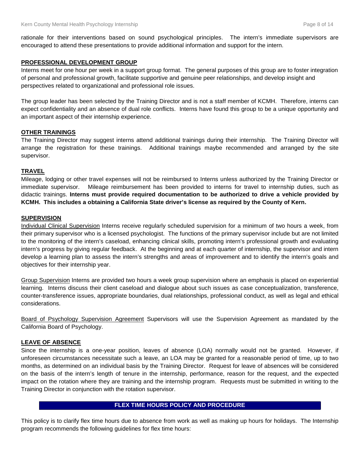rationale for their interventions based on sound psychological principles. The intern's immediate supervisors are encouraged to attend these presentations to provide additional information and support for the intern.

#### **PROFESSIONAL DEVELOPMENT GROUP**

Interns meet for one hour per week in a support group format. The general purposes of this group are to foster integration of personal and professional growth, facilitate supportive and genuine peer relationships, and develop insight and perspectives related to organizational and professional role issues.

The group leader has been selected by the Training Director and is not a staff member of KCMH. Therefore, interns can expect confidentiality and an absence of dual role conflicts. Interns have found this group to be a unique opportunity and an important aspect of their internship experience.

#### **OTHER TRAININGS**

The Training Director may suggest interns attend additional trainings during their internship. The Training Director will arrange the registration for these trainings. Additional trainings maybe recommended and arranged by the site supervisor.

#### **TRAVEL**

Mileage, lodging or other travel expenses will not be reimbursed to Interns unless authorized by the Training Director or immediate supervisor. Mileage reimbursement has been provided to interns for travel to internship duties, such as didactic trainings. **Interns must provide required documentation to be authorized to drive a vehicle provided by KCMH. This includes a obtaining a California State driver's license as required by the County of Kern.**

#### **SUPERVISION**

Individual Clinical Supervision Interns receive regularly scheduled supervision for a minimum of two hours a week, from their primary supervisor who is a licensed psychologist. The functions of the primary supervisor include but are not limited to the monitoring of the intern's caseload, enhancing clinical skills, promoting intern's professional growth and evaluating intern's progress by giving regular feedback. At the beginning and at each quarter of internship, the supervisor and intern develop a learning plan to assess the intern's strengths and areas of improvement and to identify the intern's goals and objectives for their internship year.

Group Supervision Interns are provided two hours a week group supervision where an emphasis is placed on experiential learning. Interns discuss their client caseload and dialogue about such issues as case conceptualization, transference, counter-transference issues, appropriate boundaries, dual relationships, professional conduct, as well as legal and ethical considerations.

Board of Psychology Supervision Agreement Supervisors will use the Supervision Agreement as mandated by the California Board of Psychology.

#### **LEAVE OF ABSENCE**

Since the internship is a one-year position, leaves of absence (LOA) normally would not be granted. However, if unforeseen circumstances necessitate such a leave, an LOA may be granted for a reasonable period of time, up to two months, as determined on an individual basis by the Training Director. Request for leave of absences will be considered on the basis of the intern's length of tenure in the internship, performance, reason for the request, and the expected impact on the rotation where they are training and the internship program. Requests must be submitted in writing to the Training Director in conjunction with the rotation supervisor.

#### **FLEX TIME HOURS POLICY AND PROCEDURE**

This policy is to clarify flex time hours due to absence from work as well as making up hours for holidays. The Internship program recommends the following guidelines for flex time hours: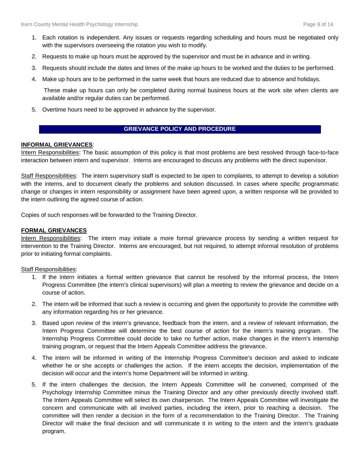- 1. Each rotation is independent. Any issues or requests regarding scheduling and hours must be negotiated only with the supervisors overseeing the rotation you wish to modify.
- 2. Requests to make up hours must be approved by the supervisor and must be in advance and in writing.
- 3. Requests should include the dates and times of the make up hours to be worked and the duties to be performed.
- 4. Make up hours are to be performed in the same week that hours are reduced due to absence and holidays.

These make up hours can only be completed during normal business hours at the work site when clients are available and/or regular duties can be performed.

5. Overtime hours need to be approved in advance by the supervisor.

#### **GRIEVANCE POLICY AND PROCEDURE**

#### **INFORMAL GRIEVANCES**:

Intern Responsibilities: The basic assumption of this policy is that most problems are best resolved through face-to-face interaction between intern and supervisor. Interns are encouraged to discuss any problems with the direct supervisor.

Staff Responsibilities: The intern supervisory staff is expected to be open to complaints, to attempt to develop a solution with the interns, and to document clearly the problems and solution discussed. In cases where specific programmatic change or changes in intern responsibility or assignment have been agreed upon, a written response will be provided to the intern outlining the agreed course of action.

Copies of such responses will be forwarded to the Training Director.

#### **FORMAL GRIEVANCES**

Intern Responsibilities: The intern may initiate a more formal grievance process by sending a written request for intervention to the Training Director. Interns are encouraged, but not required, to attempt informal resolution of problems prior to initiating formal complaints.

#### Staff Responsibilities:

- 1. If the intern initiates a formal written grievance that cannot be resolved by the informal process, the Intern Progress Committee (the intern's clinical supervisors) will plan a meeting to review the grievance and decide on a course of action.
- 2. The intern will be informed that such a review is occurring and given the opportunity to provide the committee with any information regarding his or her grievance.
- 3. Based upon review of the intern's grievance, feedback from the intern, and a review of relevant information, the Intern Progress Committee will determine the best course of action for the intern's training program. The Internship Progress Committee could decide to take no further action, make changes in the intern's internship training program, or request that the Intern Appeals Committee address the grievance.
- 4. The intern will be informed in writing of the Internship Progress Committee's decision and asked to indicate whether he or she accepts or challenges the action. If the intern accepts the decision, implementation of the decision will occur and the intern's home Department will be informed in writing.
- 5. If the intern challenges the decision, the Intern Appeals Committee will be convened, comprised of the Psychology Internship Committee minus the Training Director and any other previously directly involved staff. The Intern Appeals Committee will select its own chairperson. The Intern Appeals Committee will investigate the concern and communicate with all involved parties, including the intern, prior to reaching a decision. The committee will then render a decision in the form of a recommendation to the Training Director. The Training Director will make the final decision and will communicate it in writing to the intern and the intern's graduate program.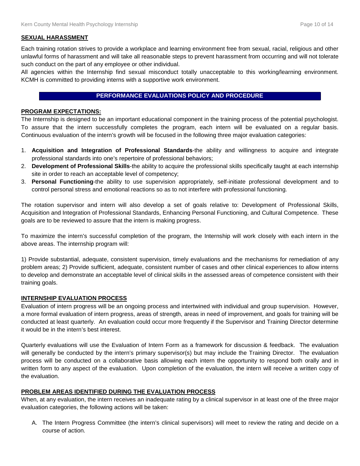#### **SEXUAL HARASSMENT**

Each training rotation strives to provide a workplace and learning environment free from sexual, racial, religious and other unlawful forms of harassment and will take all reasonable steps to prevent harassment from occurring and will not tolerate such conduct on the part of any employee or other individual.

All agencies within the Internship find sexual misconduct totally unacceptable to this working/learning environment. KCMH is committed to providing interns with a supportive work environment.

#### **PERFORMANCE EVALUATIONS POLICY AND PROCEDURE**

#### **PROGRAM EXPECTATIONS:**

The Internship is designed to be an important educational component in the training process of the potential psychologist. To assure that the intern successfully completes the program, each intern will be evaluated on a regular basis. Continuous evaluation of the intern's growth will be focused in the following three major evaluation categories:

- 1. **Acquisition and Integration of Professional Standards**-the ability and willingness to acquire and integrate professional standards into one's repertoire of professional behaviors;
- 2. **Development of Professional Skills**-the ability to acquire the professional skills specifically taught at each internship site in order to reach an acceptable level of competency;
- 3. **Personal Functioning**-the ability to use supervision appropriately, self-initiate professional development and to control personal stress and emotional reactions so as to not interfere with professional functioning.

The rotation supervisor and intern will also develop a set of goals relative to: Development of Professional Skills, Acquisition and Integration of Professional Standards, Enhancing Personal Functioning, and Cultural Competence. These goals are to be reviewed to assure that the intern is making progress.

To maximize the intern's successful completion of the program, the Internship will work closely with each intern in the above areas. The internship program will:

1) Provide substantial, adequate, consistent supervision, timely evaluations and the mechanisms for remediation of any problem areas; 2) Provide sufficient, adequate, consistent number of cases and other clinical experiences to allow interns to develop and demonstrate an acceptable level of clinical skills in the assessed areas of competence consistent with their training goals.

#### **INTERNSHIP EVALUATION PROCESS**

Evaluation of intern progress will be an ongoing process and intertwined with individual and group supervision. However, a more formal evaluation of intern progress, areas of strength, areas in need of improvement, and goals for training will be conducted at least quarterly. An evaluation could occur more frequently if the Supervisor and Training Director determine it would be in the intern's best interest.

Quarterly evaluations will use the Evaluation of Intern Form as a framework for discussion & feedback. The evaluation will generally be conducted by the intern's primary supervisor(s) but may include the Training Director. The evaluation process will be conducted on a collaborative basis allowing each intern the opportunity to respond both orally and in written form to any aspect of the evaluation. Upon completion of the evaluation, the intern will receive a written copy of the evaluation.

#### **PROBLEM AREAS IDENTIFIED DURING THE EVALUATION PROCESS**

When, at any evaluation, the intern receives an inadequate rating by a clinical supervisor in at least one of the three major evaluation categories, the following actions will be taken:

A. The Intern Progress Committee (the intern's clinical supervisors) will meet to review the rating and decide on a course of action.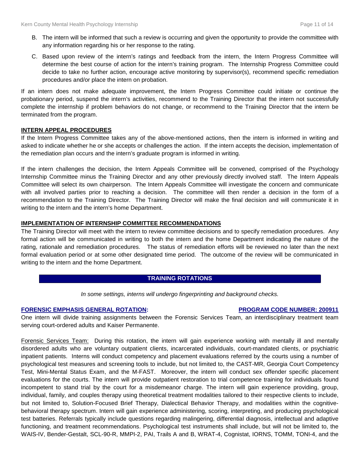- B. The intern will be informed that such a review is occurring and given the opportunity to provide the committee with any information regarding his or her response to the rating.
- C. Based upon review of the intern's ratings and feedback from the intern, the Intern Progress Committee will determine the best course of action for the intern's training program. The Internship Progress Committee could decide to take no further action, encourage active monitoring by supervisor(s), recommend specific remediation procedures and/or place the intern on probation.

If an intern does not make adequate improvement, the Intern Progress Committee could initiate or continue the probationary period, suspend the intern's activities, recommend to the Training Director that the intern not successfully complete the internship if problem behaviors do not change, or recommend to the Training Director that the intern be terminated from the program.

#### **INTERN APPEAL PROCEDURES**

If the Intern Progress Committee takes any of the above-mentioned actions, then the intern is informed in writing and asked to indicate whether he or she accepts or challenges the action. If the intern accepts the decision, implementation of the remediation plan occurs and the intern's graduate program is informed in writing.

If the intern challenges the decision, the Intern Appeals Committee will be convened, comprised of the Psychology Internship Committee minus the Training Director and any other previously directly involved staff. The Intern Appeals Committee will select its own chairperson. The Intern Appeals Committee will investigate the concern and communicate with all involved parties prior to reaching a decision. The committee will then render a decision in the form of a recommendation to the Training Director. The Training Director will make the final decision and will communicate it in writing to the intern and the intern's home Department.

#### **IMPLEMENTATION OF INTERNSHIP COMMITTEE RECOMMENDATIONS**

The Training Director will meet with the intern to review committee decisions and to specify remediation procedures. Any formal action will be communicated in writing to both the intern and the home Department indicating the nature of the rating, rationale and remediation procedures. The status of remediation efforts will be reviewed no later than the next formal evaluation period or at some other designated time period. The outcome of the review will be communicated in writing to the intern and the home Department.

#### **TRAINING ROTATIONS**

*In some settings, interns will undergo fingerprinting and background checks.*

#### **FORENSIC EMPHASIS GENERAL ROTATION: PROGRAM CODE NUMBER: 200911**

One intern will divide training assignments between the Forensic Services Team, an interdisciplinary treatment team serving court-ordered adults and Kaiser Permanente.

Forensic Services Team: During this rotation, the intern will gain experience working with mentally ill and mentally disordered adults who are voluntary outpatient clients, incarcerated individuals, court-mandated clients, or psychiatric inpatient patients. Interns will conduct competency and placement evaluations referred by the courts using a number of psychological test measures and screening tools to include, but not limited to, the CAST-MR, Georgia Court Competency Test, Mini-Mental Status Exam, and the M-FAST. Moreover, the intern will conduct sex offender specific placement evaluations for the courts. The intern will provide outpatient restoration to trial competence training for individuals found incompetent to stand trial by the court for a misdemeanor charge. The intern will gain experience providing, group, individual, family, and couples therapy using theoretical treatment modalities tailored to their respective clients to include, but not limited to, Solution-Focused Brief Therapy, Dialectical Behavior Therapy, and modalities within the cognitivebehavioral therapy spectrum. Intern will gain experience administering, scoring, interpreting, and producing psychological test batteries. Referrals typically include questions regarding malingering, differential diagnosis, intellectual and adaptive functioning, and treatment recommendations. Psychological test instruments shall include, but will not be limited to, the WAIS-IV, Bender-Gestalt, SCL-90-R, MMPI-2, PAI, Trails A and B, WRAT-4, Cognistat, IORNS, TOMM, TONI-4, and the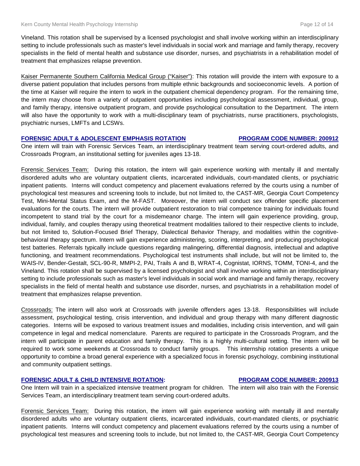Vineland. This rotation shall be supervised by a licensed psychologist and shall involve working within an interdisciplinary setting to include professionals such as master's level individuals in social work and marriage and family therapy, recovery specialists in the field of mental health and substance use disorder, nurses, and psychiatrists in a rehabilitation model of treatment that emphasizes relapse prevention.

Kaiser Permanente Southern California Medical Group ("Kaiser"): This rotation will provide the intern with exposure to a diverse patient population that includes persons from multiple ethnic backgrounds and socioeconomic levels. A portion of the time at Kaiser will require the intern to work in the outpatient chemical dependency program. For the remaining time, the intern may choose from a variety of outpatient opportunities including psychological assessment, individual, group, and family therapy, intensive outpatient program, and provide psychological consultation to the Department. The intern will also have the opportunity to work with a multi-disciplinary team of psychiatrists, nurse practitioners, psychologists, psychiatric nurses, LMFTs and LCSWs.

#### **FORENSIC ADULT & ADOLESCENT EMPHASIS ROTATION PROGRAM CODE NUMBER: 200912**

One intern will train with Forensic Services Team, an interdisciplinary treatment team serving court-ordered adults, and Crossroads Program, an institutional setting for juveniles ages 13-18.

Forensic Services Team: During this rotation, the intern will gain experience working with mentally ill and mentally disordered adults who are voluntary outpatient clients, incarcerated individuals, court-mandated clients, or psychiatric inpatient patients. Interns will conduct competency and placement evaluations referred by the courts using a number of psychological test measures and screening tools to include, but not limited to, the CAST-MR, Georgia Court Competency Test, Mini-Mental Status Exam, and the M-FAST. Moreover, the intern will conduct sex offender specific placement evaluations for the courts. The intern will provide outpatient restoration to trial competence training for individuals found incompetent to stand trial by the court for a misdemeanor charge. The intern will gain experience providing, group, individual, family, and couples therapy using theoretical treatment modalities tailored to their respective clients to include, but not limited to, Solution-Focused Brief Therapy, Dialectical Behavior Therapy, and modalities within the cognitivebehavioral therapy spectrum. Intern will gain experience administering, scoring, interpreting, and producing psychological test batteries. Referrals typically include questions regarding malingering, differential diagnosis, intellectual and adaptive functioning, and treatment recommendations. Psychological test instruments shall include, but will not be limited to, the WAIS-IV, Bender-Gestalt, SCL-90-R, MMPI-2, PAI, Trails A and B, WRAT-4, Cognistat, IORNS, TOMM, TONI-4, and the Vineland. This rotation shall be supervised by a licensed psychologist and shall involve working within an interdisciplinary setting to include professionals such as master's level individuals in social work and marriage and family therapy, recovery specialists in the field of mental health and substance use disorder, nurses, and psychiatrists in a rehabilitation model of treatment that emphasizes relapse prevention.

Crossroads: The intern will also work at Crossroads with juvenile offenders ages 13-18. Responsibilities will include assessment, psychological testing, crisis intervention, and individual and group therapy with many different diagnostic categories. Interns will be exposed to various treatment issues and modalities, including crisis intervention, and will gain competence in legal and medical nomenclature. Parents are required to participate in the Crossroads Program, and the intern will participate in parent education and family therapy. This is a highly multi-cultural setting. The intern will be required to work some weekends at Crossroads to conduct family groups. This internship rotation presents a unique opportunity to combine a broad general experience with a specialized focus in forensic psychology, combining institutional and community outpatient settings.

#### **FORENSIC ADULT & CHILD INTENSIVE ROTATION: PROGRAM CODE NUMBER: 200913**

One Intern will train in a specialized intensive treatment program for children. The intern will also train with the Forensic Services Team, an interdisciplinary treatment team serving court-ordered adults.

Forensic Services Team: During this rotation, the intern will gain experience working with mentally ill and mentally disordered adults who are voluntary outpatient clients, incarcerated individuals, court-mandated clients, or psychiatric inpatient patients. Interns will conduct competency and placement evaluations referred by the courts using a number of psychological test measures and screening tools to include, but not limited to, the CAST-MR, Georgia Court Competency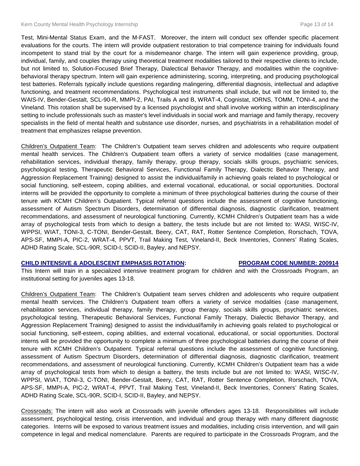Test, Mini-Mental Status Exam, and the M-FAST. Moreover, the intern will conduct sex offender specific placement evaluations for the courts. The intern will provide outpatient restoration to trial competence training for individuals found incompetent to stand trial by the court for a misdemeanor charge. The intern will gain experience providing, group, individual, family, and couples therapy using theoretical treatment modalities tailored to their respective clients to include, but not limited to, Solution-Focused Brief Therapy, Dialectical Behavior Therapy, and modalities within the cognitivebehavioral therapy spectrum. Intern will gain experience administering, scoring, interpreting, and producing psychological test batteries. Referrals typically include questions regarding malingering, differential diagnosis, intellectual and adaptive functioning, and treatment recommendations. Psychological test instruments shall include, but will not be limited to, the WAIS-IV, Bender-Gestalt, SCL-90-R, MMPI-2, PAI, Trails A and B, WRAT-4, Cognistat, IORNS, TOMM, TONI-4, and the Vineland. This rotation shall be supervised by a licensed psychologist and shall involve working within an interdisciplinary setting to include professionals such as master's level individuals in social work and marriage and family therapy, recovery specialists in the field of mental health and substance use disorder, nurses, and psychiatrists in a rehabilitation model of treatment that emphasizes relapse prevention.

Children's Outpatient Team: The Children's Outpatient team serves children and adolescents who require outpatient mental health services. The Children's Outpatient team offers a variety of service modalities (case management, rehabilitation services, individual therapy, family therapy, group therapy, socials skills groups, psychiatric services, psychological testing, Therapeutic Behavioral Services, Functional Family Therapy, Dialectic Behavior Therapy, and Aggression Replacement Training) designed to assist the individual/family in achieving goals related to psychological or social functioning, self-esteem, coping abilities, and external vocational, educational, or social opportunities. Doctoral interns will be provided the opportunity to complete a minimum of three psychological batteries during the course of their tenure with KCMH Children's Outpatient. Typical referral questions include the assessment of cognitive functioning, assessment of Autism Spectrum Disorders, determination of differential diagnosis, diagnostic clarification, treatment recommendations, and assessment of neurological functioning. Currently, KCMH Children's Outpatient team has a wide array of psychological tests from which to design a battery, the tests include but are not limited to: WASI, WISC-IV, WPPSI, WIAT, TONI-3, C-TONI, Bender-Gestalt, Beery, CAT, RAT, Rotter Sentence Completion, Rorschach, TOVA, APS-SF, MMPI-A, PIC-2, WRAT-4, PPVT, Trail Making Test, Vineland-II, Beck Inventories, Conners' Rating Scales, ADHD Rating Scale, SCL-90R, SCID-I, SCID-II, Bayley, and NEPSY.

#### **CHILD INTENSIVE & ADOLESCENT EMPHASIS ROTATION: PROGRAM CODE NUMBER: 200914**

This Intern will train in a specialized intensive treatment program for children and with the Crossroads Program, an institutional setting for juveniles ages 13-18.

Children's Outpatient Team: The Children's Outpatient team serves children and adolescents who require outpatient mental health services. The Children's Outpatient team offers a variety of service modalities (case management, rehabilitation services, individual therapy, family therapy, group therapy, socials skills groups, psychiatric services, psychological testing, Therapeutic Behavioral Services, Functional Family Therapy, Dialectic Behavior Therapy, and Aggression Replacement Training) designed to assist the individual/family in achieving goals related to psychological or social functioning, self-esteem, coping abilities, and external vocational, educational, or social opportunities. Doctoral interns will be provided the opportunity to complete a minimum of three psychological batteries during the course of their tenure with KCMH Children's Outpatient. Typical referral questions include the assessment of cognitive functioning, assessment of Autism Spectrum Disorders, determination of differential diagnosis, diagnostic clarification, treatment recommendations, and assessment of neurological functioning. Currently, KCMH Children's Outpatient team has a wide array of psychological tests from which to design a battery, the tests include but are not limited to: WASI, WISC-IV, WPPSI, WIAT, TONI-3, C-TONI, Bender-Gestalt, Beery, CAT, RAT, Rotter Sentence Completion, Rorschach, TOVA, APS-SF, MMPI-A, PIC-2, WRAT-4, PPVT, Trail Making Test, Vineland-II, Beck Inventories, Conners' Rating Scales, ADHD Rating Scale, SCL-90R, SCID-I, SCID-II, Bayley, and NEPSY.

Crossroads: The intern will also work at Crossroads with juvenile offenders ages 13-18. Responsibilities will include assessment, psychological testing, crisis intervention, and individual and group therapy with many different diagnostic categories. Interns will be exposed to various treatment issues and modalities, including crisis intervention, and will gain competence in legal and medical nomenclature. Parents are required to participate in the Crossroads Program, and the